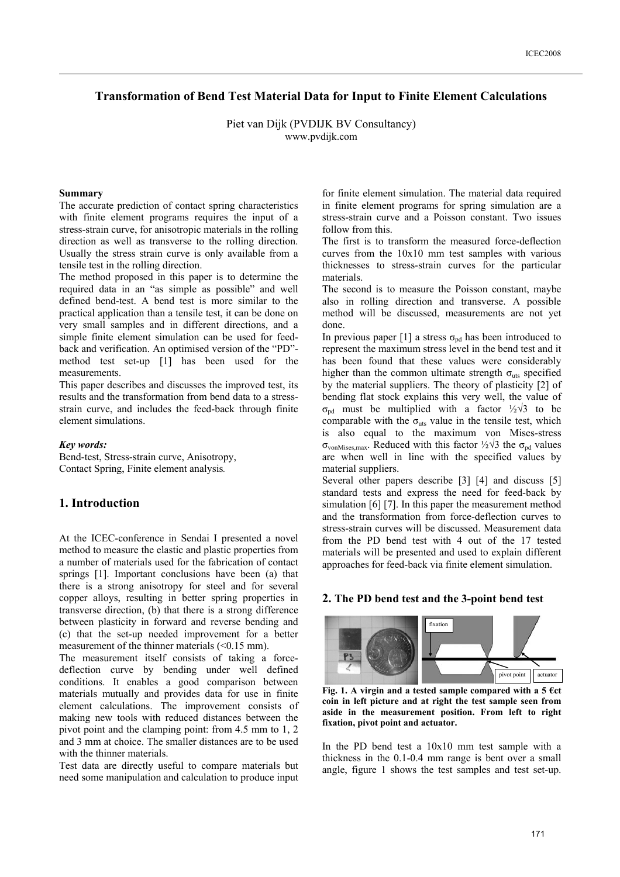# **Transformation of Bend Test Material Data for Input to Finite Element Calculations**

Piet van Dijk (PVDIJK BV Consultancy) www.pvdijk.com

#### **Summary**

The accurate prediction of contact spring characteristics with finite element programs requires the input of a stress-strain curve, for anisotropic materials in the rolling direction as well as transverse to the rolling direction. Usually the stress strain curve is only available from a tensile test in the rolling direction.

The method proposed in this paper is to determine the required data in an "as simple as possible" and well defined bend-test. A bend test is more similar to the practical application than a tensile test, it can be done on very small samples and in different directions, and a simple finite element simulation can be used for feedback and verification. An optimised version of the "PD" method test set-up [1] has been used for the measurements.

This paper describes and discusses the improved test, its results and the transformation from bend data to a stressstrain curve, and includes the feed-back through finite element simulations.

#### *Key words:*

Bend-test, Stress-strain curve, Anisotropy, Contact Spring, Finite element analysis*.* 

### **1. Introduction**

At the ICEC-conference in Sendai I presented a novel method to measure the elastic and plastic properties from a number of materials used for the fabrication of contact springs [1]. Important conclusions have been (a) that there is a strong anisotropy for steel and for several copper alloys, resulting in better spring properties in transverse direction, (b) that there is a strong difference between plasticity in forward and reverse bending and (c) that the set-up needed improvement for a better measurement of the thinner materials  $( $0.15 \text{ mm}$ ).$ 

The measurement itself consists of taking a forcedeflection curve by bending under well defined conditions. It enables a good comparison between materials mutually and provides data for use in finite element calculations. The improvement consists of making new tools with reduced distances between the pivot point and the clamping point: from 4.5 mm to 1, 2 and 3 mm at choice. The smaller distances are to be used with the thinner materials.

Test data are directly useful to compare materials but need some manipulation and calculation to produce input for finite element simulation. The material data required in finite element programs for spring simulation are a stress-strain curve and a Poisson constant. Two issues follow from this

The first is to transform the measured force-deflection curves from the 10x10 mm test samples with various thicknesses to stress-strain curves for the particular materials.

The second is to measure the Poisson constant, maybe also in rolling direction and transverse. A possible method will be discussed, measurements are not yet done.

In previous paper [1] a stress  $\sigma_{pd}$  has been introduced to represent the maximum stress level in the bend test and it has been found that these values were considerably higher than the common ultimate strength  $\sigma_{\text{uts}}$  specified by the material suppliers. The theory of plasticity [2] of bending flat stock explains this very well, the value of  $\sigma_{\text{pd}}$  must be multiplied with a factor  $\frac{1}{2}\sqrt{3}$  to be comparable with the  $\sigma_{uts}$  value in the tensile test, which is also equal to the maximum von Mises-stress  $\sigma_{\text{vonMises,max}}$ . Reduced with this factor ½ $\sqrt{3}$  the  $\sigma_{\text{pd}}$  values are when well in line with the specified values by material suppliers.

Several other papers describe [3] [4] and discuss [5] standard tests and express the need for feed-back by simulation [6] [7]. In this paper the measurement method and the transformation from force-deflection curves to stress-strain curves will be discussed. Measurement data from the PD bend test with 4 out of the 17 tested materials will be presented and used to explain different approaches for feed-back via finite element simulation.

### **2. The PD bend test and the 3-point bend test**



**Fig. 1. A virgin and a tested sample compared with a 5 €ct coin in left picture and at right the test sample seen from aside in the measurement position. From left to right fixation, pivot point and actuator.** 

In the PD bend test a 10x10 mm test sample with a thickness in the 0.1-0.4 mm range is bent over a small angle, figure 1 shows the test samples and test set-up.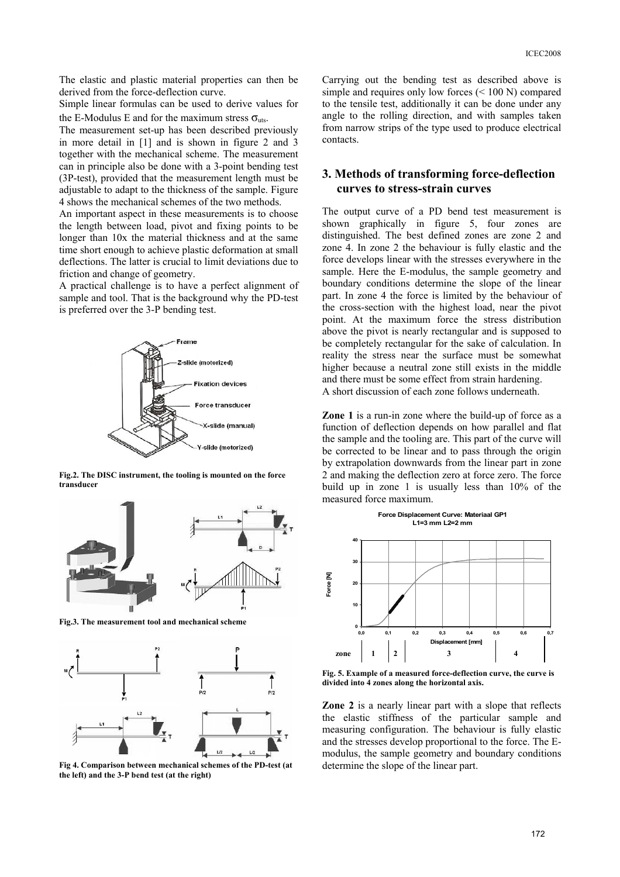The elastic and plastic material properties can then be derived from the force-deflection curve.

Simple linear formulas can be used to derive values for the E-Modulus E and for the maximum stress  $\sigma_{\text{uts}}$ .

The measurement set-up has been described previously in more detail in [1] and is shown in figure 2 and 3 together with the mechanical scheme. The measurement can in principle also be done with a 3-point bending test (3P-test), provided that the measurement length must be adjustable to adapt to the thickness of the sample. Figure 4 shows the mechanical schemes of the two methods.

An important aspect in these measurements is to choose the length between load, pivot and fixing points to be longer than 10x the material thickness and at the same time short enough to achieve plastic deformation at small deflections. The latter is crucial to limit deviations due to friction and change of geometry.

A practical challenge is to have a perfect alignment of sample and tool. That is the background why the PD-test is preferred over the 3-P bending test.



**Fig.2. The DISC instrument, the tooling is mounted on the force transducer** 



**Fig.3. The measurement tool and mechanical scheme**



**Fig 4. Comparison between mechanical schemes of the PD-test (at the left) and the 3-P bend test (at the right)** 

Carrying out the bending test as described above is simple and requires only low forces (< 100 N) compared to the tensile test, additionally it can be done under any angle to the rolling direction, and with samples taken from narrow strips of the type used to produce electrical contacts.

# **3. Methods of transforming force-deflection curves to stress-strain curves**

The output curve of a PD bend test measurement is shown graphically in figure 5, four zones are distinguished. The best defined zones are zone 2 and zone 4. In zone 2 the behaviour is fully elastic and the force develops linear with the stresses everywhere in the sample. Here the E-modulus, the sample geometry and boundary conditions determine the slope of the linear part. In zone 4 the force is limited by the behaviour of the cross-section with the highest load, near the pivot point. At the maximum force the stress distribution above the pivot is nearly rectangular and is supposed to be completely rectangular for the sake of calculation. In reality the stress near the surface must be somewhat higher because a neutral zone still exists in the middle and there must be some effect from strain hardening. A short discussion of each zone follows underneath.

**Zone 1** is a run-in zone where the build-up of force as a function of deflection depends on how parallel and flat the sample and the tooling are. This part of the curve will be corrected to be linear and to pass through the origin by extrapolation downwards from the linear part in zone 2 and making the deflection zero at force zero. The force build up in zone 1 is usually less than 10% of the measured force maximum.

**Force Displacement Curve: Materiaal GP1**



**Fig. 5. Example of a measured force-deflection curve, the curve is divided into 4 zones along the horizontal axis.** 

**Zone 2** is a nearly linear part with a slope that reflects the elastic stiffness of the particular sample and measuring configuration. The behaviour is fully elastic and the stresses develop proportional to the force. The Emodulus, the sample geometry and boundary conditions determine the slope of the linear part.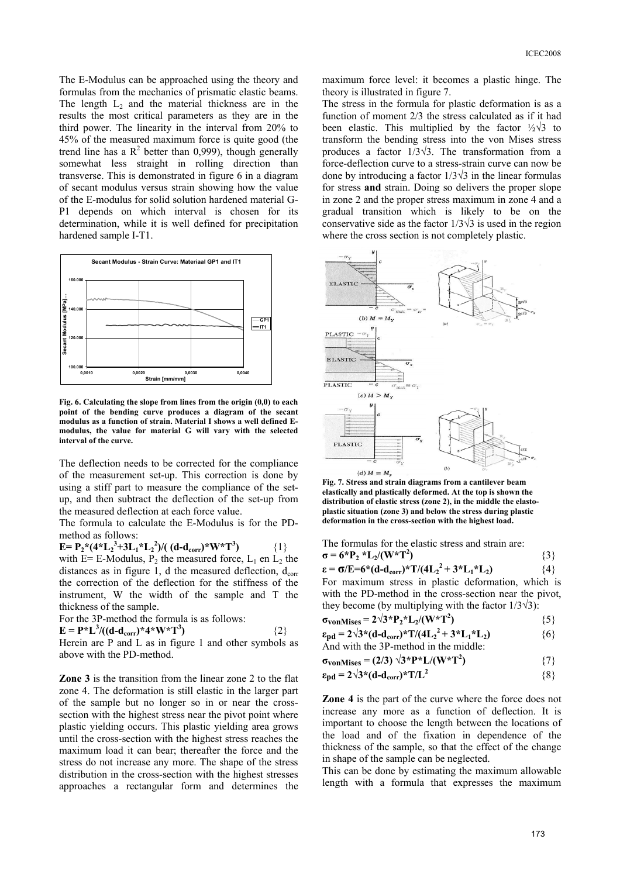The E-Modulus can be approached using the theory and formulas from the mechanics of prismatic elastic beams. The length  $L_2$  and the material thickness are in the results the most critical parameters as they are in the third power. The linearity in the interval from 20% to 45% of the measured maximum force is quite good (the trend line has a  $R^2$  better than 0,999), though generally somewhat less straight in rolling direction than transverse. This is demonstrated in figure 6 in a diagram of secant modulus versus strain showing how the value of the E-modulus for solid solution hardened material G-P1 depends on which interval is chosen for its determination, while it is well defined for precipitation hardened sample I-T1.



**Fig. 6. Calculating the slope from lines from the origin (0,0) to each point of the bending curve produces a diagram of the secant modulus as a function of strain. Material I shows a well defined Emodulus, the value for material G will vary with the selected interval of the curve.**

The deflection needs to be corrected for the compliance of the measurement set-up. This correction is done by using a stiff part to measure the compliance of the setup, and then subtract the deflection of the set-up from the measured deflection at each force value.

The formula to calculate the E-Modulus is for the PDmethod as follows:

 $E = P_2^*(4*L_2^3+3L_1*L_2^2)/((d-d_{corr})*W*T^3)$ **)** {1} with  $E= E$ -Modulus,  $P_2$  the measured force,  $L_1$  en  $L_2$  the distances as in figure 1, d the measured deflection,  $d_{corr}$ the correction of the deflection for the stiffness of the instrument, W the width of the sample and T the thickness of the sample.

For the 3P-method the formula is as follows:

$$
\mathbf{E} = \mathbf{P}^* \mathbf{L}^3 / ((\mathbf{d} \mathbf{-d}_{\text{corr}})^* \mathbf{4}^* \mathbf{W}^* \mathbf{T}^3)
$$

Herein are P and L as in figure 1 and other symbols as above with the PD-method.

**)** {2}

**Zone 3** is the transition from the linear zone 2 to the flat zone 4. The deformation is still elastic in the larger part of the sample but no longer so in or near the crosssection with the highest stress near the pivot point where plastic yielding occurs. This plastic yielding area grows until the cross-section with the highest stress reaches the maximum load it can bear; thereafter the force and the stress do not increase any more. The shape of the stress distribution in the cross-section with the highest stresses approaches a rectangular form and determines the maximum force level: it becomes a plastic hinge. The theory is illustrated in figure 7.

The stress in the formula for plastic deformation is as a function of moment 2/3 the stress calculated as if it had been elastic. This multiplied by the factor  $\frac{1}{2}\sqrt{3}$  to transform the bending stress into the von Mises stress produces a factor 1/3√3. The transformation from a force-deflection curve to a stress-strain curve can now be done by introducing a factor 1/3√3 in the linear formulas for stress **and** strain. Doing so delivers the proper slope in zone 2 and the proper stress maximum in zone 4 and a gradual transition which is likely to be on the conservative side as the factor  $1/3\sqrt{3}$  is used in the region where the cross section is not completely plastic.



**Fig. 7. Stress and strain diagrams from a cantilever beam elastically and plastically deformed. At the top is shown the distribution of elastic stress (zone 2), in the middle the elastoplastic situation (zone 3) and below the stress during plastic deformation in the cross-section with the highest load.** 

The formulas for the elastic stress and strain are: **σ** = 6\*P<sub>2</sub> \*L<sub>2</sub>/(W\*T<sup>2</sup>) **)**  ${3}$ 

**ε** =  $\sigma$ /**E**=6\*(d-d<sub>corr</sub>)\*T/(4L<sub>2</sub><sup>2</sup> + 3\*L<sub>1</sub>\*L<sub>2</sub>) {4} For maximum stress in plastic deformation, which is with the PD-method in the cross-section near the pivot, they become (by multiplying with the factor  $1/3\sqrt{3}$ ):

$$
\sigma_{\text{vonMises}} = 2\sqrt{3} \cdot P_2 \cdot L_2 / (W^*T^2)
$$
 (5)

 $\varepsilon_{\text{pd}} = 2\sqrt{3}*(d-d_{\text{corr}})*T/(4L_2^2 + 3*L_1*L_2)$  {6}

And with the 3P-method in the middle: 
$$
(20) \times 10^{10}
$$
 J

$$
\sigma_{\text{vonMiss}} = (2/3) \sqrt{3*} \text{P*} L / (\text{W*} \text{T}^2) \tag{7}
$$

$$
\epsilon_{\text{pd}} = 2\sqrt{3} \cdot (\text{d-d}_{\text{corr}}) \cdot \text{T/L}^2 \tag{8}
$$

**Zone 4** is the part of the curve where the force does not increase any more as a function of deflection. It is important to choose the length between the locations of the load and of the fixation in dependence of the thickness of the sample, so that the effect of the change in shape of the sample can be neglected.

This can be done by estimating the maximum allowable length with a formula that expresses the maximum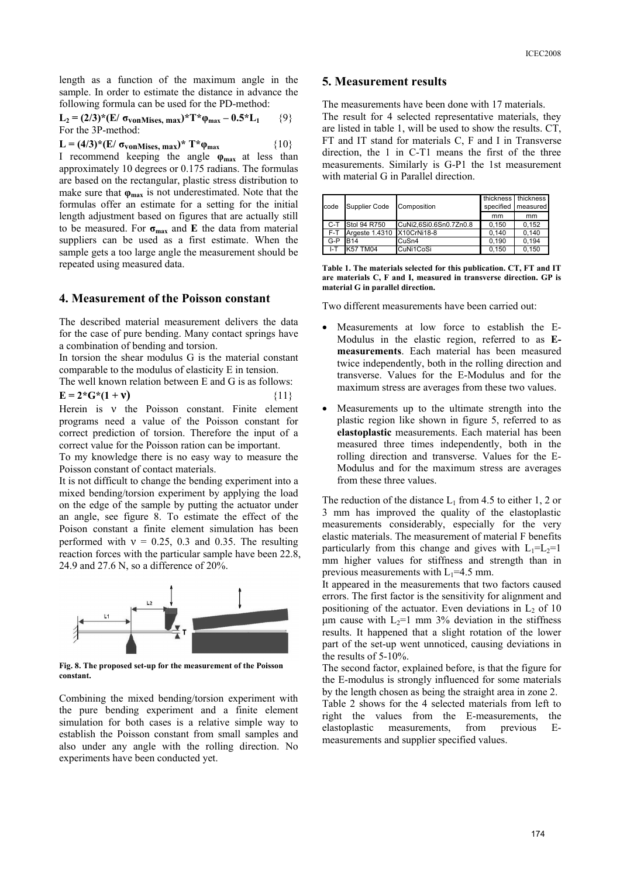length as a function of the maximum angle in the sample. In order to estimate the distance in advance the following formula can be used for the PD-method:

$$
L_2 = (2/3)^*(E/\sigma_{vonMises, max})^*T^*\varphi_{max} - 0.5^*L_1
$$
 {9}  
For the 3P-method:

**L** = (4/3)\*(**E**/ **σ**<sub>**vonMises, max**)\*  $T$ \* φ<sub>max</sub> {10}</sub> I recommend keeping the angle **φmax** at less than approximately 10 degrees or 0.175 radians. The formulas are based on the rectangular, plastic stress distribution to make sure that  $\varphi_{\text{max}}$  is not underestimated. Note that the formulas offer an estimate for a setting for the initial length adjustment based on figures that are actually still to be measured. For **σmax** and **E** the data from material suppliers can be used as a first estimate. When the sample gets a too large angle the measurement should be repeated using measured data.

## **4. Measurement of the Poisson constant**

The described material measurement delivers the data for the case of pure bending. Many contact springs have a combination of bending and torsion.

In torsion the shear modulus G is the material constant comparable to the modulus of elasticity E in tension.

The well known relation between E and G is as follows:  $E = 2*G*(1 + v)$  {11}

Herein is ν the Poisson constant. Finite element programs need a value of the Poisson constant for correct prediction of torsion. Therefore the input of a correct value for the Poisson ration can be important.

To my knowledge there is no easy way to measure the Poisson constant of contact materials.

It is not difficult to change the bending experiment into a mixed bending/torsion experiment by applying the load on the edge of the sample by putting the actuator under an angle, see figure 8. To estimate the effect of the Poison constant a finite element simulation has been performed with  $v = 0.25, 0.3$  and 0.35. The resulting reaction forces with the particular sample have been 22.8, 24.9 and 27.6 N, so a difference of 20%.



**Fig. 8. The proposed set-up for the measurement of the Poisson constant.** 

Combining the mixed bending/torsion experiment with the pure bending experiment and a finite element simulation for both cases is a relative simple way to establish the Poisson constant from small samples and also under any angle with the rolling direction. No experiments have been conducted yet.

#### **5. Measurement results**

The measurements have been done with 17 materials. The result for 4 selected representative materials, they are listed in table 1, will be used to show the results. CT, FT and IT stand for materials C, F and I in Transverse direction, the 1 in C-T1 means the first of the three measurements. Similarly is G-P1 the 1st measurement with material G in Parallel direction.

| code | <b>Supplier Code</b>       | Composition            |       | thickness   thickness<br>specified measured |
|------|----------------------------|------------------------|-------|---------------------------------------------|
|      |                            |                        | mm    | mm                                          |
|      | C-T Stol 94 R750           | CuNi2.6Si0.6Sn0.7Zn0.8 | 0.150 | 0.152                                       |
| F-T  | Argeste 1.4310 X10CrNi18-8 |                        | 0.140 | 0.140                                       |
| G-P  | <b>R14</b>                 | CuSn4                  | 0.190 | 0.194                                       |
| I-T  | <b>K57 TM04</b>            | CuNi1CoSi              | 0,150 | 0,150                                       |

**Table 1. The materials selected for this publication. CT, FT and IT are materials C, F and I, measured in transverse direction. GP is material G in parallel direction.**

Two different measurements have been carried out:

- Measurements at low force to establish the E-Modulus in the elastic region, referred to as **Emeasurements**. Each material has been measured twice independently, both in the rolling direction and transverse. Values for the E-Modulus and for the maximum stress are averages from these two values.
- Measurements up to the ultimate strength into the plastic region like shown in figure 5, referred to as **elastoplastic** measurements. Each material has been measured three times independently, both in the rolling direction and transverse. Values for the E-Modulus and for the maximum stress are averages from these three values.

The reduction of the distance  $L_1$  from 4.5 to either 1, 2 or 3 mm has improved the quality of the elastoplastic measurements considerably, especially for the very elastic materials. The measurement of material F benefits particularly from this change and gives with  $L_1=L_2=1$ mm higher values for stiffness and strength than in previous measurements with  $L_1$ =4.5 mm.

It appeared in the measurements that two factors caused errors. The first factor is the sensitivity for alignment and positioning of the actuator. Even deviations in  $L_2$  of 10  $\mu$ m cause with L<sub>2</sub>=1 mm 3% deviation in the stiffness results. It happened that a slight rotation of the lower part of the set-up went unnoticed, causing deviations in the results of 5-10%.

The second factor, explained before, is that the figure for the E-modulus is strongly influenced for some materials by the length chosen as being the straight area in zone 2.

Table 2 shows for the 4 selected materials from left to right the values from the E-measurements, the elastoplastic measurements, from previous Emeasurements and supplier specified values.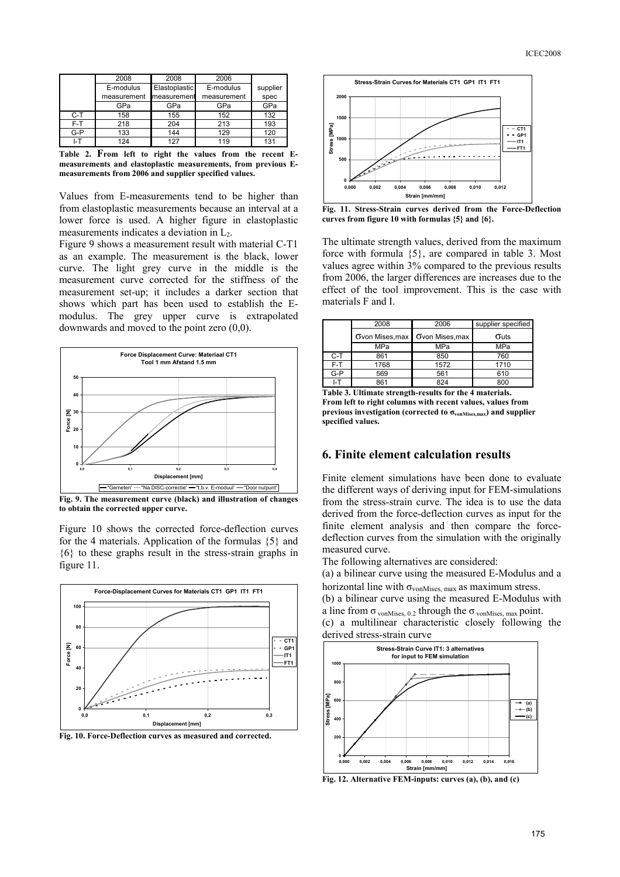|       | 2008        | 2008          | 2006        |          |
|-------|-------------|---------------|-------------|----------|
|       | E-modulus   | Elastoplastic | E-modulus   | supplier |
|       | measurement | measurement   | measurement | spec     |
|       | GPa         | GPa           | GPa         | GPa      |
| $C-T$ | 158         | 155           | 152         | 132      |
| F-T   | 218         | 204           | 213         | 193      |
| $G-P$ | 133         | 144           | 129         | 120      |
| I-T   | 124         | 127           | 119         | 131      |

**Table 2. From left to right the values from the recent Emeasurements and elastoplastic measurements, from previous Emeasurements from 2006 and supplier specified values.** 

Values from E-measurements tend to be higher than from elastoplastic measurements because an interval at a lower force is used. A higher figure in elastoplastic measurements indicates a deviation in  $L<sub>2</sub>$ .

Figure 9 shows a measurement result with material C-T1 as an example. The measurement is the black, lower curve. The light grey curve in the middle is the measurement curve corrected for the stiffness of the measurement set-up; it includes a darker section that shows which part has been used to establish the Emodulus. The grey upper curve is extrapolated downwards and moved to the point zero (0,0).



**Fig. 9. The measurement curve (black) and illustration of changes to obtain the corrected upper curve.** 

Figure 10 shows the corrected force-deflection curves for the 4 materials. Application of the formulas {5} and {6} to these graphs result in the stress-strain graphs in figure 11.



**Fig. 10. Force-Deflection curves as measured and corrected.** 



**Fig. 11. Stress-Strain curves derived from the Force-Deflection curves from figure 10 with formulas {5} and {6}.**

The ultimate strength values, derived from the maximum force with formula {5}, are compared in table 3. Most values agree within 3% compared to the previous results from 2006, the larger differences are increases due to the effect of the tool improvement. This is the case with materials F and I.

|        | 2008            | 2006                                                       | supplier specified |  |
|--------|-----------------|------------------------------------------------------------|--------------------|--|
|        | Ovon Mises, max | Ovon Mises, max                                            | Outs               |  |
|        | MPa             | MPa                                                        | MPa                |  |
| C-T    | 861             | 850                                                        | 760                |  |
| F-T    | 1768            | 1572                                                       | 1710               |  |
| $G-P$  | 569             | 561                                                        | 610                |  |
| I-T    | 861             | 824                                                        | 800                |  |
| T.L. 2 |                 | Tilatoristi idorini od Liniunilas Romalis di orietaritello |                    |  |

**Table 3. Ultimate strength-results for the 4 materials. From left to right columns with recent values, values from previous investigation (corrected to σvonMises,max) and supplier specified values.** 

# **6. Finite element calculation results**

Finite element simulations have been done to evaluate the different ways of deriving input for FEM-simulations from the stress-strain curve. The idea is to use the data derived from the force-deflection curves as input for the finite element analysis and then compare the forcedeflection curves from the simulation with the originally measured curve.

The following alternatives are considered:

(a) a bilinear curve using the measured E-Modulus and a horizontal line with  $\sigma_{\text{vonMises. max}}$  as maximum stress.

(b) a bilinear curve using the measured E-Modulus with a line from  $\sigma$  vonMises, 0.2 through the  $\sigma$  vonMises, max point. (c) a multilinear characteristic closely following the

derived stress-strain curve



**Fig. 12. Alternative FEM-inputs: curves (a), (b), and (c)**